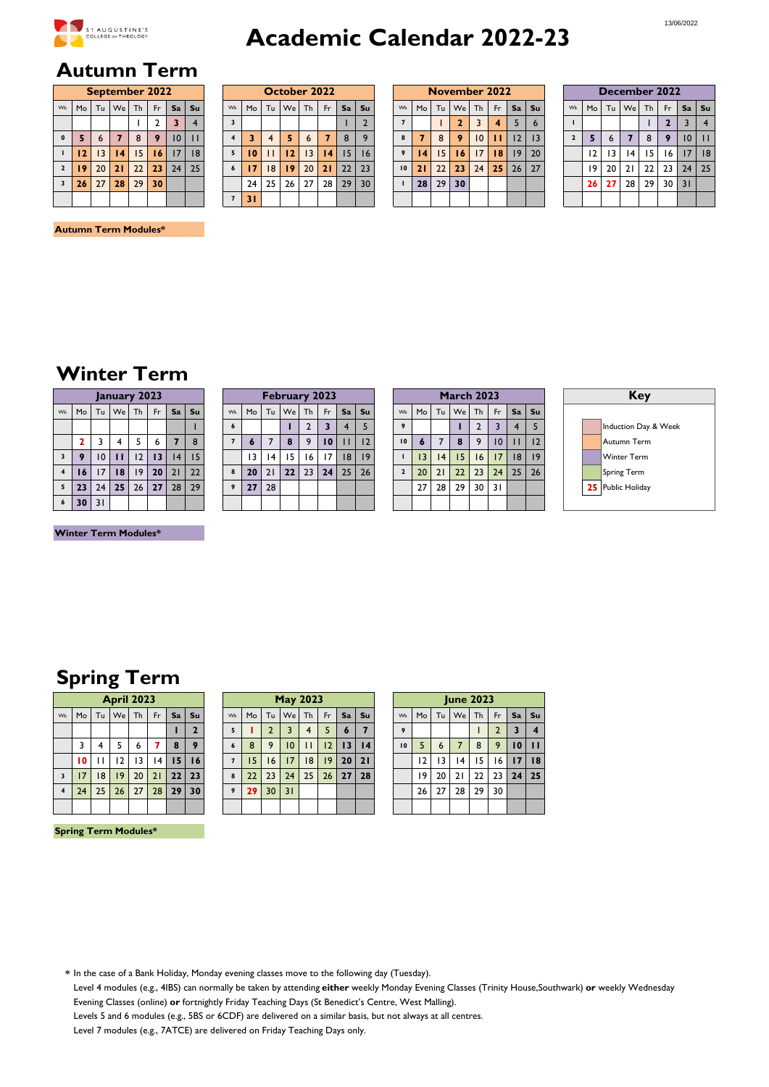

# **Academic Calendar 2022-23**

## **Autumn Term**

|                         |    |                 |          | <b>September 2022</b> |                |    |    |
|-------------------------|----|-----------------|----------|-----------------------|----------------|----|----|
| Wk                      | Mo |                 | Tu We Th |                       | Fr.            | Sa | Su |
|                         |    |                 |          |                       | $\overline{2}$ | 3  |    |
| $\mathbf{0}$            | 5  | $6\overline{6}$ | 7        | 8                     | 9              | 10 |    |
|                         | 12 | $\overline{3}$  | 14       | 15                    | 16             | 17 | 18 |
| $\overline{2}$          | 19 | 20              | 21       | 22                    | 23             | 24 | 25 |
| $\overline{\mathbf{3}}$ | 26 | 27              | 28       | 29                    | 30             |    |    |
|                         |    |                 |          |                       |                |    |    |

|                         |    |    | October 2022 |    |    |    |                |
|-------------------------|----|----|--------------|----|----|----|----------------|
| Wk                      | Mo | Tu | We           | Th | Fr | Sa | Su             |
| $\overline{\mathbf{3}}$ |    |    |              |    |    |    | $\overline{2}$ |
| $\overline{4}$          | 3  | 4  | 5            | 6  | 7  | 8  | 9              |
| 5                       | 10 |    | 12           | 13 | 14 | 15 | 16             |
| $\boldsymbol{6}$        | 17 | 8  | 19           | 20 | 21 | 22 | 23             |
|                         | 24 | 25 | 26           | 27 | 28 | 29 | 30             |
| $\overline{7}$          | 31 |    |              |    |    |    |                |

|              |      |                 |                 | September 2022  |     |                         |    |            |    |                | October 2022 |         |                 |    |       |    |                 |                 |                 | November 2022 |     |    |             |                |    |                 |    |                 | December 2022   |                 |                        |
|--------------|------|-----------------|-----------------|-----------------|-----|-------------------------|----|------------|----|----------------|--------------|---------|-----------------|----|-------|----|-----------------|-----------------|-----------------|---------------|-----|----|-------------|----------------|----|-----------------|----|-----------------|-----------------|-----------------|------------------------|
| Wk I         | Mo   |                 | Tu We           | Th I            | Fr. | Sa                      | Su | Wk         | Mo | Tu             |              | $We$ Th | Fr.             |    | Sa Su | Wk | Mo Tu We        |                 |                 | Th            | Fr. |    | Sa   Su     | Wk             | Mo | Tu              |    | We Th           | Fr L            | $Sa$ $Su$       |                        |
|              |      |                 |                 |                 |     | $\overline{\mathbf{3}}$ | 4  |            |    |                |              |         |                 |    |       |    |                 |                 |                 | 3             | 4   |    | $\mathbf b$ |                |    |                 |    |                 |                 |                 | $\overline{4}$         |
| $\mathbf{0}$ | -5   | 6               |                 | 8               | 9   | 10                      |    |            | 3. | $\overline{4}$ | 5.           | 6       |                 | 8  | 9     | 8  |                 | 8               | 9               | 10            | п   | 12 |             | $\overline{2}$ |    | 6               |    | 8               | 9               | 10 <sup>°</sup> | Ш                      |
|              | 12   | 3               | 4               | 15 <sup>1</sup> | 16  | 17                      | 18 |            | 10 | $\mathbf{H}$   | 12           | 3       | 4               | 15 | 16    | 9  | $\overline{14}$ | 15 <sub>1</sub> | 16              | 17            | 18  | 9  | 20          |                | 12 | $\overline{13}$ | 4  | 15 <sup>1</sup> | 16 <sup>1</sup> | 17              | $\mathsf{1}\mathsf{8}$ |
|              | 2 19 | 20 <sub>1</sub> | 21              | 22              | 23  | 24                      | 25 | $\epsilon$ | 17 | 8              | 19           | 20      | 21              | 22 | 23    | 10 | 21              | 22 <sub>1</sub> | 23 <sub>1</sub> | 24            | 25  | 26 | 127         |                | 19 | 20              | 21 | 22 <sub>1</sub> | 231             | 24              | 25                     |
| $3-1$        | 26   | 27              | 28 <sup>1</sup> | 29 <sub>1</sub> | 30  |                         |    |            | 24 | 25             | 26           | 27      | 28 <sub>1</sub> | 29 | 30    |    | 28 <sup>1</sup> | 29 <sup>1</sup> | 30              |               |     |    |             |                | 26 | 27              | 28 | 29 <sub>1</sub> | $30$   $31$     |                 |                        |
|              |      |                 |                 |                 |     |                         |    |            | 31 |                |              |         |                 |    |       |    |                 |                 |                 |               |     |    |             |                |    |                 |    |                 |                 |                 |                        |

|                |                 |    | December 2022 |    |                |                         |    |
|----------------|-----------------|----|---------------|----|----------------|-------------------------|----|
| Wk             | Mo <sup>1</sup> |    | Tu We Th      |    | Fr.            | Sa                      | Su |
|                |                 |    |               |    | $\overline{2}$ | $\overline{\mathbf{3}}$ | 4  |
| $\overline{2}$ | 5               | 6  |               | 8  | 9              | 10                      |    |
|                | 12              | 13 | 4             | 15 | 16             | 17                      | 18 |
|                | 19              | 20 | 21            | 22 | 23             | 24                      | 25 |
|                | 26              | 27 | 28            | 29 | 30             | 31                      |    |
|                |                 |    |               |    |                |                         |    |

#### **Autumn Term Modules\***

# **Winter Term**

|                         |                         |    |              | January 2023 |     |                |    |
|-------------------------|-------------------------|----|--------------|--------------|-----|----------------|----|
| Wk                      | Mo                      |    |              | Tu We Th     | Fr. | Sa             | Su |
|                         |                         |    |              |              |     |                |    |
|                         | $\overline{\mathbf{2}}$ | 3  | 4            | 5            | 6   | $\overline{7}$ | 8  |
| $\overline{\mathbf{3}}$ | 9                       | 10 | $\mathbf{H}$ | 12           | 13  | 4              | 15 |
| $\overline{4}$          | 16                      | 17 | 18           | 9            | 20  | 21             | 22 |
| 5                       | 23                      | 24 | 25           | 26           | 27  | 28             | 29 |
| $\boldsymbol{6}$        | 30                      | 31 |              |              |     |                |    |

|                |                  |    |    | January 2023 |           |    |        |    |                 |    | <b>February 2023</b> |    |                 |    |    |    |                 |                | <b>March 2023</b> |    |                |              |    |  | Key                |
|----------------|------------------|----|----|--------------|-----------|----|--------|----|-----------------|----|----------------------|----|-----------------|----|----|----|-----------------|----------------|-------------------|----|----------------|--------------|----|--|--------------------|
| Wk             | Mo Tu            |    |    | We Th        | Fr.       |    | Sal Su | Wk |                 |    | Mo Tu We             |    | Th Fr           | Sa | Su | Wk | Mo              | Tu             | We Th             |    | F <sub>r</sub> | Sa l         | Su |  |                    |
|                |                  |    |    |              |           |    |        | 6  |                 |    |                      |    |                 |    |    |    |                 |                |                   |    |                |              |    |  | Induction Day      |
|                |                  |    | 4  |              | 6         |    | 8      |    | $\bullet$       |    | 8                    | 9  | $\overline{10}$ |    | 12 | 10 | 6               | $\overline{7}$ | 8                 | 9  | 10             | $\mathbf{H}$ | 12 |  | Autumn Term        |
|                | $3 \mid 9$       | 10 | п  | 12           | 13        | 4  | 15     |    | $\overline{13}$ | 4  | 15                   | 16 | 17 <sub>1</sub> | 18 | 19 |    | $\overline{13}$ | 4              | 15 <sup>1</sup>   | 16 | 17             | 8            | 19 |  | <b>Winter Term</b> |
| 4 <sup>1</sup> | 6                | 17 | 8  | 19           | <b>20</b> | 21 | 22     |    | 20              | 21 | 22                   | 23 | 24 <sup>1</sup> | 25 | 26 |    | 20              | 21             | 22                | 23 | 24             | 25           | 26 |  | Spring Term        |
|                | 5   23           | 24 | 25 | 26           | 27        | 28 | 29     |    | 27              | 28 |                      |    |                 |    |    |    | 27              | 28             | 29 <sub>1</sub>   | 30 | 31             |              |    |  | 25 Public Holiday  |
|                | $6 \mid 30 \mid$ | 31 |    |              |           |    |        |    |                 |    |                      |    |                 |    |    |    |                 |                |                   |    |                |              |    |  |                    |

|                         |                 |                | <b>March 2023</b> |                |                         |                |    |
|-------------------------|-----------------|----------------|-------------------|----------------|-------------------------|----------------|----|
| Wk                      | Mo              | Tu             | We                | Th             | Fr                      | Sa             | Su |
| 9                       |                 |                |                   | $\overline{2}$ | $\overline{\mathbf{3}}$ | $\overline{4}$ | 5  |
| 10                      | 6               | $\overline{7}$ | 8                 | 9              | $\overline{10}$         |                | 12 |
|                         | $\overline{13}$ | 4              | 15                | 16             | 17                      | 8              | 9  |
| $\overline{\mathbf{z}}$ | 20              | 21             | 22                | 23             | 24                      | 25             | 26 |
|                         | 27              | 28             | 29                | 30             | 31                      |                |    |
|                         |                 |                |                   |                |                         |                |    |



**Winter Term Modules\***

# **Spring Term**

|                         |    |    |           | <b>April 2023</b> |    |    |                |                  |    |                | <b>May 2023</b> |    |  |
|-------------------------|----|----|-----------|-------------------|----|----|----------------|------------------|----|----------------|-----------------|----|--|
| Wk                      | Mo | Tu | <b>We</b> | Th                | Fr | Sa | Su             | Wk               | Mo | Tu             | We              | Th |  |
|                         |    |    |           |                   |    |    | $\overline{2}$ | 5                |    | $\overline{2}$ | 3               | 4  |  |
|                         | 3  | 4  | 5         | 6                 | 7  | 8  | 9              | $\boldsymbol{6}$ | 8  | 9              | 10              | Н  |  |
|                         | 10 |    | 12        | 13                | 14 | 15 | 16             | 7                | 15 | 16             | 17              | 8  |  |
| 3                       | 17 | 8  | 9         | 20                | 21 | 22 | 23             | 8                | 22 | 23             | 24              | 25 |  |
| $\overline{\mathbf{4}}$ | 24 | 25 | 26        | 27                | 28 | 29 | 30             | 9                | 29 | 30             | 31              |    |  |
|                         |    |    |           |                   |    |    |                |                  |    |                |                 |    |  |

#### **Spring Term Modules\***

|                         |      |    | <b>April 2023</b> |           |     |    |    |    |    |    |    | <b>May 2023</b> |                 |           |    |    |                |    | <b>June 2023</b> |           |                |                 |              |
|-------------------------|------|----|-------------------|-----------|-----|----|----|----|----|----|----|-----------------|-----------------|-----------|----|----|----------------|----|------------------|-----------|----------------|-----------------|--------------|
| <b>Wk</b>               | Mo   | Tu | We                | <b>Th</b> | Fr. | Sa | Su | Wk | Mo | Tu | We | <b>Th</b>       | <b>Fr</b>       | Sa l      | Su | Wk | Mo             | Tu | Wel              | <b>Th</b> | Fr.            | Sa              | <b>Su</b>    |
|                         |      |    |                   |           |     |    | n  | 5  |    |    |    | 4               |                 | $\bullet$ |    | 9  |                |    |                  |           | $\overline{2}$ |                 | 4            |
|                         |      | 4  |                   | ь         |     | 8  | 9  | 6  | 8  | 9  | 10 |                 | $ 2\rangle$     | 13        | 14 | 10 | 5              | 6  |                  | 8         | 9              | 10 <sup>1</sup> | $\mathbf{H}$ |
|                         | 10 I |    | 12                | 13        | 14  | 15 | 16 |    | 5  | 16 | 17 | 8               | 9               | 20        | 21 |    | $\overline{2}$ | 13 | 4                | 15        | 16             | 17              | 18           |
| 3                       |      | 8  | 9                 | 20        | 21  | 22 | 23 | 8  | 22 | 23 | 24 | 25              | 26 <sub>1</sub> | 27        | 28 |    | 19             | 20 | 21               | 22        | 23             | 24 <sup>1</sup> | 25           |
| $\overline{\mathbf{4}}$ | 24   | 25 | 26                | 27        | 28  | 29 | 30 | 9  | 29 | 30 | 31 |                 |                 |           |    |    | 26             | 27 | 28               | 29        | 30             |                 |              |
|                         |      |    |                   |           |     |    |    |    |    |    |    |                 |                 |           |    |    |                |    |                  |           |                |                 |              |

|    |    |    | <b>June 2023</b> |    |                |    |    |
|----|----|----|------------------|----|----------------|----|----|
| Wk | Mo | Tu | We               | Th | Fr             | Sa | Su |
| 9  |    |    |                  |    | $\overline{2}$ | 3  | 4  |
| 10 | 5  | 6  | $\overline{7}$   | 8  | 9              | 10 |    |
|    | 12 | 13 | 4                | 15 | 16             | 17 | 18 |
|    | 19 | 20 | 21               | 22 | 23             | 24 | 25 |
|    | 26 | 27 | 28               | 29 | 30             |    |    |
|    |    |    |                  |    |                |    |    |

**\*** In the case of a Bank Holiday, Monday evening classes move to the following day (Tuesday).

Level 4 modules (e.g., 4IBS) can normally be taken by attending **either** weekly Monday Evening Classes (Trinity House,Southwark) **or** weekly Wednesday Evening Classes (online) **or** fortnightly Friday Teaching Days (St Benedict's Centre, West Malling).

Levels 5 and 6 modules (e.g., 5BS or 6CDF) are delivered on a similar basis, but not always at all centres.

Level 7 modules (e.g., 7ATCE) are delivered on Friday Teaching Days only.